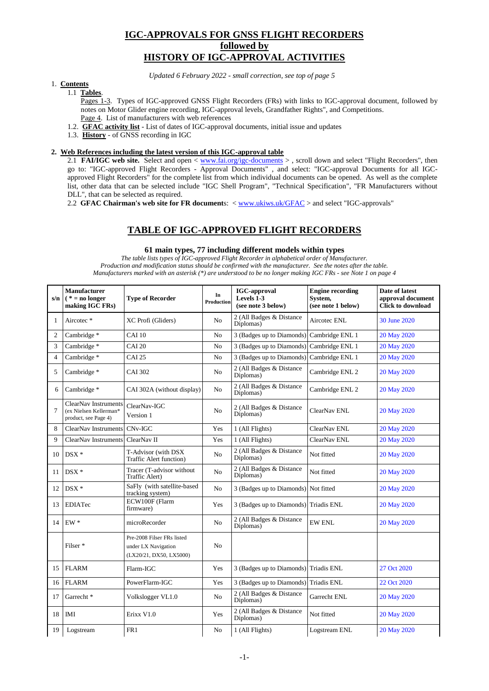# **IGC-APPROVALS FOR GNSS FLIGHT RECORDERS followed by HISTORY OF IGC-APPROVAL ACTIVITIES**

*Updated 6 February 2022 - small correction, see top of page 5*

### 1. **Contents**

## 1.1 **Tables**.

Pages 1-3. Types of IGC-approved GNSS Flight Recorders (FRs) with links to IGC-approval document, followed by notes on Motor Glider engine recording, IGC-approval levels, Grandfather Rights", and Competitions. Page 4. List of manufacturers with web references

- 1.2. **GFAC activity list** List of dates of IGC-approval documents, initial issue and updates
- 1.3. **History** of GNSS recording in IGC

### **2. Web References including the latest version of this IGC-approval table**

2.1 **FAI/IGC web site.** Select and open < [www.fai.org/igc-documents](http://www.fai.org/igc-documents) >, scroll down and select "Flight Recorders", then go to: "IGC-approved Flight Recorders - Approval Documents" , and select: "IGC-approval Documents for all IGCapproved Flight Recorders" for the complete list from which individual documents can be opened. As well as the complete list, other data that can be selected include "IGC Shell Program", "Technical Specification", "FR Manufacturers without DLL", that can be selected as required.

2.2 **GFAC Chairman's web site for FR document**s: < [www.ukiws.uk/GFAC](http://www.ukiws.uk/GFAC) > and select "IGC-approvals"

## **TABLE OF IGC-APPROVED FLIGHT RECORDERS**

### **61 main types, 77 including different models within types**

*The table lists types of IGC-approved Flight Recorder in alphabetical order of Manufacturer. Production and modification status should be confirmed with the manufacturer. See the notes after the table. Manufacturers marked with an asterisk (\*) are understood to be no longer making IGC FRs - see Note 1 on page 4*

| s/n            | <b>Manufacturer</b><br>$(*)$ = no longer<br>making IGC FRs)                   | <b>Type of Recorder</b>                                                      | In<br><b>Production</b> | <b>IGC-approval</b><br>Levels 1-3<br>(see note 3 below) | <b>Engine recording</b><br>System,<br>(see note 1 below) | Date of latest<br>approval document<br><b>Click to download</b> |
|----------------|-------------------------------------------------------------------------------|------------------------------------------------------------------------------|-------------------------|---------------------------------------------------------|----------------------------------------------------------|-----------------------------------------------------------------|
| 1              | Aircotec*                                                                     | XC Profi (Gliders)                                                           | No                      | 2 (All Badges & Distance<br>Diplomas)                   | Aircotec ENL                                             | 30 June 2020                                                    |
| $\overline{2}$ | Cambridge*                                                                    | <b>CAI 10</b>                                                                | No                      | 3 (Badges up to Diamonds)                               | Cambridge ENL 1                                          | 20 May 2020                                                     |
| 3              | Cambridge*                                                                    | <b>CAI 20</b>                                                                | No                      | 3 (Badges up to Diamonds)                               | Cambridge ENL 1                                          | 20 May 2020                                                     |
| $\overline{4}$ | Cambridge*                                                                    | <b>CAI 25</b>                                                                | No                      | 3 (Badges up to Diamonds)                               | Cambridge ENL 1                                          | 20 May 2020                                                     |
| 5              | Cambridge*                                                                    | <b>CAI 302</b>                                                               | No                      | 2 (All Badges & Distance<br>Diplomas)                   | Cambridge ENL 2                                          | 20 May 2020                                                     |
| 6              | Cambridge*                                                                    | CAI 302A (without display)                                                   | N <sub>o</sub>          | 2 (All Badges & Distance<br>Diplomas)                   | Cambridge ENL 2                                          | 20 May 2020                                                     |
| $\overline{7}$ | <b>ClearNav Instruments</b><br>(ex Nielsen Kellerman*<br>product, see Page 4) | ClearNav-IGC<br>Version 1                                                    | No                      | 2 (All Badges & Distance<br>Diplomas)                   | ClearNav ENL                                             | 20 May 2020                                                     |
| 8              | ClearNav Instruments                                                          | CNv-IGC                                                                      | Yes                     | 1 (All Flights)                                         | ClearNav ENL                                             | 20 May 2020                                                     |
| 9              | ClearNav Instruments                                                          | ClearNav II                                                                  | Yes                     | 1 (All Flights)                                         | ClearNav ENL                                             | 20 May 2020                                                     |
| 10             | $DSX *$                                                                       | T-Advisor (with DSX<br>Traffic Alert function)                               | No                      | 2 (All Badges & Distance<br>Diplomas)                   | Not fitted                                               | 20 May 2020                                                     |
| 11             | $DSX *$                                                                       | Tracer (T-advisor without<br>Traffic Alert)                                  | No                      | 2 (All Badges & Distance<br>Diplomas)                   | Not fitted                                               | 20 May 2020                                                     |
| 12             | $DSX *$                                                                       | SaFly (with satellite-based<br>tracking system)                              | N <sub>0</sub>          | 3 (Badges up to Diamonds)                               | Not fitted                                               | 20 May 2020                                                     |
| 13             | <b>EDIATec</b>                                                                | ECW100F (Flarm<br>firmware)                                                  | Yes                     | 3 (Badges up to Diamonds)                               | <b>Triadis ENL</b>                                       | 20 May 2020                                                     |
| 14             | $EW*$                                                                         | microRecorder                                                                | N <sub>o</sub>          | 2 (All Badges & Distance<br>Diplomas)                   | EW ENL                                                   | 20 May 2020                                                     |
|                | Filser <sup>*</sup>                                                           | Pre-2008 Filser FRs listed<br>under LX Navigation<br>(LX20/21, DX50, LX5000) | No                      |                                                         |                                                          |                                                                 |
| 15             | <b>FLARM</b>                                                                  | Flarm-IGC                                                                    | Yes                     | 3 (Badges up to Diamonds) Triadis ENL                   |                                                          | 27 Oct 2020                                                     |
| 16             | <b>FLARM</b>                                                                  | PowerFlarm-IGC                                                               | Yes                     | 3 (Badges up to Diamonds)                               | <b>Triadis ENL</b>                                       | 22 Oct 2020                                                     |
| 17             | Garrecht <sup>*</sup>                                                         | Volkslogger VL1.0                                                            | No                      | 2 (All Badges & Distance<br>Diplomas)                   | Garrecht ENL                                             | 20 May 2020                                                     |
| 18             | <b>IMI</b>                                                                    | Erixx V1.0                                                                   | Yes                     | 2 (All Badges & Distance<br>Diplomas)                   | Not fitted                                               | 20 May 2020                                                     |
| 19             | Logstream                                                                     | FR1                                                                          | No                      | 1 (All Flights)                                         | Logstream ENL                                            | 20 May 2020                                                     |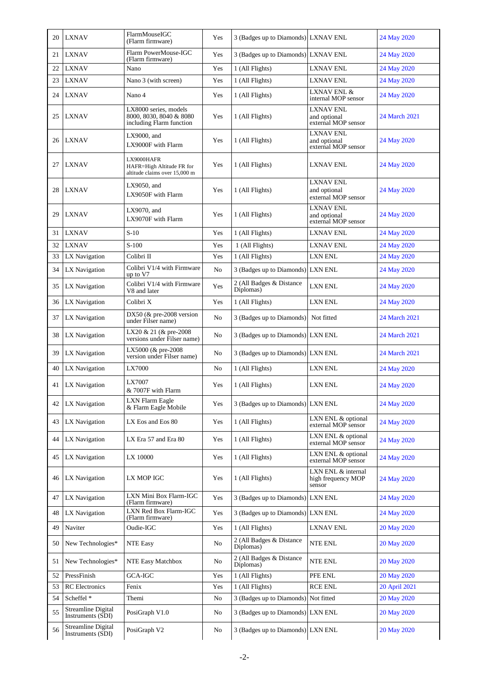| 20 | <b>LXNAV</b>                                   | FlarmMouseIGC<br>(Flarm firmware)                                            | Yes            | 3 (Badges up to Diamonds) LXNAV ENL   |                                                         | 24 May 2020   |
|----|------------------------------------------------|------------------------------------------------------------------------------|----------------|---------------------------------------|---------------------------------------------------------|---------------|
| 21 | <b>LXNAV</b>                                   | Flarm PowerMouse-IGC<br>(Flarm firmware)                                     | Yes            | 3 (Badges up to Diamonds) LXNAV ENL   |                                                         | 24 May 2020   |
| 22 | <b>LXNAV</b>                                   | Nano                                                                         | Yes            | 1 (All Flights)                       | <b>LXNAV ENL</b>                                        | 24 May 2020   |
| 23 | LXNAV                                          | Nano 3 (with screen)                                                         | Yes            | 1 (All Flights)                       | LXNAV ENL                                               | 24 May 2020   |
| 24 | <b>LXNAV</b>                                   | Nano 4                                                                       | Yes            | 1 (All Flights)                       | LXNAV ENL &<br>internal MOP sensor                      | 24 May 2020   |
| 25 | <b>LXNAV</b>                                   | LX8000 series, models<br>8000, 8030, 8040 & 8080<br>including Flarm function | Yes            | 1 (All Flights)                       | <b>LXNAV ENL</b><br>and optional<br>external MOP sensor | 24 March 2021 |
| 26 | <b>LXNAV</b>                                   | LX9000, and<br>LX9000F with Flarm                                            | Yes            | 1 (All Flights)                       | <b>LXNAV ENL</b><br>and optional<br>external MOP sensor | 24 May 2020   |
| 27 | <b>LXNAV</b>                                   | LX9000HAFR<br>HAFR=High Altitude FR for<br>altitude claims over 15,000 m     | Yes            | 1 (All Flights)                       | LXNAV ENL                                               | 24 May 2020   |
| 28 | <b>LXNAV</b>                                   | LX9050, and<br>LX9050F with Flarm                                            | Yes            | 1 (All Flights)                       | <b>LXNAV ENL</b><br>and optional<br>external MOP sensor | 24 May 2020   |
| 29 | <b>LXNAV</b>                                   | LX9070, and<br>LX9070F with Flarm                                            | Yes            | 1 (All Flights)                       | <b>LXNAV ENL</b><br>and optional<br>external MOP sensor | 24 May 2020   |
| 31 | <b>LXNAV</b>                                   | $S-10$                                                                       | Yes            | 1 (All Flights)                       | <b>LXNAV ENL</b>                                        | 24 May 2020   |
| 32 | <b>LXNAV</b>                                   | $S-100$                                                                      | Yes            | 1 (All Flights)                       | <b>LXNAV ENL</b>                                        | 24 May 2020   |
| 33 | LX Navigation                                  | Colibri II                                                                   | Yes            | 1 (All Flights)                       | <b>LXN ENL</b>                                          | 24 May 2020   |
| 34 | LX Navigation                                  | Colibri V1/4 with Firmware<br>up to V7                                       | N <sub>0</sub> | 3 (Badges up to Diamonds) LXN ENL     |                                                         | 24 May 2020   |
| 35 | LX Navigation                                  | Colibri V1/4 with Firmware<br>V8 and later                                   | Yes            | 2 (All Badges & Distance<br>Diplomas) | <b>LXN ENL</b>                                          | 24 May 2020   |
| 36 | LX Navigation                                  | Colibri X                                                                    | Yes            | 1 (All Flights)                       | <b>LXN ENL</b>                                          | 24 May 2020   |
| 37 | LX Navigation                                  | DX50 ( $&$ pre-2008 version<br>under Filser name)                            | No             | 3 (Badges up to Diamonds)             | Not fitted                                              | 24 March 2021 |
| 38 | LX Navigation                                  | LX20 & 21 (& pre-2008<br>versions under Filser name)                         | No             | 3 (Badges up to Diamonds) LXN ENL     |                                                         | 24 March 2021 |
| 39 | LX Navigation                                  | LX5000 (& pre-2008<br>version under Filser name)                             | No             | 3 (Badges up to Diamonds) LXN ENL     |                                                         | 24 March 2021 |
| 40 | LX Navigation                                  | LX7000                                                                       | No             | 1 (All Flights)                       | <b>LXN ENL</b>                                          | 24 May 2020   |
| 41 | LX Navigation                                  | LX7007<br>& 7007F with Flarm                                                 | Yes            | 1 (All Flights)                       | LXN ENL                                                 | 24 May 2020   |
| 42 | LX Navigation                                  | LXN Flarm Eagle<br>& Flarm Eagle Mobile                                      | Yes            | 3 (Badges up to Diamonds) LXN ENL     |                                                         | 24 May 2020   |
| 43 | LX Navigation                                  | LX Eos and Eos 80                                                            | Yes            | 1 (All Flights)                       | LXN ENL & optional<br>external MOP sensor               | 24 May 2020   |
| 44 | LX Navigation                                  | LX Era 57 and Era 80                                                         | Yes            | 1 (All Flights)                       | LXN ENL & optional<br>external MOP sensor               | 24 May 2020   |
| 45 | LX Navigation                                  | LX 10000                                                                     | Yes            | 1 (All Flights)                       | LXN ENL & optional<br>external MOP sensor               | 24 May 2020   |
| 46 | LX Navigation                                  | LX MOP IGC                                                                   | Yes            | 1 (All Flights)                       | LXN ENL & internal<br>high frequency MOP<br>sensor      | 24 May 2020   |
| 47 | LX Navigation                                  | LXN Mini Box Flarm-IGC<br>(Flarm firmware)                                   | Yes            | 3 (Badges up to Diamonds)             | <b>LXN ENL</b>                                          | 24 May 2020   |
| 48 | LX Navigation                                  | LXN Red Box Flarm-IGC<br>(Flarm firmware)                                    | Yes            | 3 (Badges up to Diamonds) LXN ENL     |                                                         | 24 May 2020   |
| 49 | Naviter                                        | Oudie-IGC                                                                    | Yes            | 1 (All Flights)                       | LXNAV ENL                                               | 20 May 2020   |
| 50 | New Technologies*                              | <b>NTE Easy</b>                                                              | No             | 2 (All Badges & Distance<br>Diplomas) | <b>NTE ENL</b>                                          | 20 May 2020   |
| 51 | New Technologies*                              | NTE Easy Matchbox                                                            | No             | 2 (All Badges & Distance<br>Diplomas) | NTE ENL                                                 | 20 May 2020   |
| 52 | PressFinish                                    | GCA-IGC                                                                      | Yes            | 1 (All Flights)                       | PFE ENL                                                 | 20 May 2020   |
| 53 | <b>RC</b> Electronics                          | Fenix                                                                        | Yes            | 1 (All Flights)                       | <b>RCE ENL</b>                                          | 20 April 2021 |
| 54 | Scheffel *                                     | Themi                                                                        | No             | 3 (Badges up to Diamonds)             | Not fitted                                              | 20 May 2020   |
| 55 | Streamline Digital<br>Instruments (SDI)        | PosiGraph V1.0                                                               | No             | 3 (Badges up to Diamonds) LXN ENL     |                                                         | 20 May 2020   |
| 56 | <b>Streamline Digital</b><br>Instruments (SDI) | PosiGraph V2                                                                 | No             | 3 (Badges up to Diamonds) LXN ENL     |                                                         | 20 May 2020   |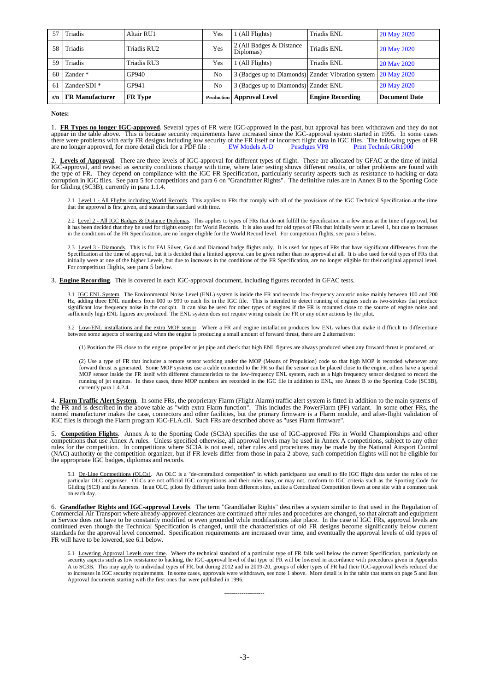| 57  | Triadis                 | Altair RU1     | Yes | 1 (All Flights)                                               | Triadis ENL             | 20 May 2020          |
|-----|-------------------------|----------------|-----|---------------------------------------------------------------|-------------------------|----------------------|
| 58  | Triadis                 | Triadis RU2    | Yes | 2 (All Badges & Distance<br>Diplomas)                         | Triadis ENL             | 20 May 2020          |
| 59  | Triadis                 | Triadis RU3    | Yes | 1 (All Flights)                                               | Triadis ENL             | 20 May 2020          |
| 60  | Zander <sup>*</sup>     | GP940          | No  | 3 (Badges up to Diamonds) Zander Vibration system 20 May 2020 |                         |                      |
| 61  | Zander/SDI <sup>*</sup> | GP941          | No  | 3 (Badges up to Diamonds) Zander ENL                          |                         | 20 May 2020          |
| s/n | <b>FR Manufacturer</b>  | <b>FR</b> Type |     | <b>Production   Approval Level</b>                            | <b>Engine Recording</b> | <b>Document Date</b> |

#### **Notes:**

1. **FR Types no longer IGC-approved**. Several types of FR were IGC-approved in the past, but approval has been withdrawn and they do not appear in the table above. This is because security requirements have increased since the IGC-approval system started in 1995. In some cases<br>there were problems with early FR designs including low security of the FR itself are no longer approved, for more detail click for a PDF file : [EW Models A-D](http://www.ukiws.uk/GFAC/approvals/ew.pdf) [Peschges VP8](http://www.ukiws.uk/GFAC/approvals/peschges.pdf) Print Technik GR1000

2. **Levels of Approval**. There are three levels of IGC-approval for different types of flight. These are allocated by GFAC at the time of initial IGC-approval, and revised as security conditions change with time, where later testing shows different results, or other problems are found with the type of FR. They depend on compliance with the IGC FR Specification, particularly security aspects such as resistance to hacking or data<br>corruption in IGC files. See para 5 for competitions and para 6 on "Grandfather R

2.1 Level 1 - All Flights including World Records. This applies to FRs that comply with all of the provisions of the IGC Technical Specification at the time that the approval is first given, and sustain that standard with time.

2.2 Level 2 - All IGC Badges & Distance Diplomas. This applies to types of FRs that do not fulfill the Specification in a few areas at the time of approval, but it has been decided that they be used for flights except for World Records. It is also used for old types of FRs that initially were at Level 1, but due to increases<br>in the conditions of the FR Specification, are no longer

2.3 Level 3 - Diamonds. This is for FAI Silver, Gold and Diamond badge flights only. It is used for types of FRs that have significant differences from the Specification at the time of approval, but it is decided that a limited approval can be given rather than no approval at all. It is also used for old types of FRs that initially were at one of the higher Levels, but due to increases in the conditions of the FR Specification, are no longer eligible for their original approval level. For competition flights, see para 5 below.

3. **Engine Recording**. This is covered in each IGC-approval document, including figures recorded in GFAC tests.

3.1 IGC ENL System. The Environmental Noise Level (ENL) system is inside the FR and records low-frequency acoustic noise mainly between 100 and 200 Hz, adding three ENL numbers from 000 to 999 to each fix in the IGC file. This is intended to detect running of engines such as two-strokes that produce significant low frequency noise in the cockpit. It can also be used for other types of engines if the FR is mounted close to the source of engine noise and sufficiently high ENL figures are produced. The ENL system does no

3.2 Low-ENL installations and the extra MOP sensor. Where a FR and engine installation produces low ENL values that make it difficult to differentiate between some aspects of soaring and when the engine is producing a smal

(1) Position the FR close to the engine, propeller or jet pipe and check that high ENL figures are always produced when any forward thrust is produced, or

(2) Use a type of FR that includes a remote sensor working under the MOP (Means of Propulsion) code so that high MOP is recorded whenever any forward thrust is generated. Some MOP systems use a cable connected to the FR so that the sensor can be placed close to the engine, others have a special MOP sensor inside the FR itself with different characteristics to the low-frequency ENL system, such as a high frequency sensor designed to record the<br>running of jet engines. In these cases, three MOP numbers are recorded currently para 1.4.2.4.

4. **Flarm Traffic Alert System**. In some FRs, the proprietary Flarm (Flight Alarm) traffic alert system is fitted in addition to the main systems of the FR and is described in the above table as "with extra Flarm function". This includes the PowerFlarm (PF) variant. In some other FRs, the named manufacturer makes the case, connectors and other facilities, but the primary firmware is a Flarm module, and after-flight validation of IGC files is through the Flarm program IGC-FLA.dll. Such FRs are described above as "uses Flarm firmware".

5. **Competition Flights**. Annex A to the Sporting Code (SC3A) specifies the use of IGC-approved FRs in World Championships and other competitions that use Annex A rules. Unless specified otherwise, all approval levels may be used in Annex A competitions, subject to any other rules for the competition. In competitions where SC3A is not used, other rules and procedures may be made by the National Airsport Control (NAC) authority or the competition organizer, but if FR levels differ from those in para 2 above, such competition flights will not be eligible for the appropriate IGC badges, diplomas and records.

5.1 On-Line Competitions (OLCs). An OLC is a "de-centralized competition" in which participants use email to file IGC flight data under the rules of the particular OLC organiser. OLCs are not official IGC competitions and their rules may, or may not, conform to IGC criteria such as the Sporting Code for Gliding (SC3) and its Annexes. In an OLC, pilots fly different tasks from different sites, unlike a Centralized Competition flown at one site with a common task on each day.

6. **Grandfather Rights and IGC-approval Levels**. The term "Grandfather Rights" describes a system similar to that used in the Regulation of Commercial Air Transport where already-approved clearances are continued after rules and procedures are changed, so that aircraft and equipment<br>in Service does not have to be constantly modified or even grounded while modi standards for the approval level concerned. Specification requirements are increased over time, and eventually the approval levels of old types of FR will have to be lowered, see 6.1 below.

6.1 Lowering Approval Levels over time. Where the technical standard of a particular type of FR falls well below the current Specification, particularly on security aspects such as low resistance to hacking, the IGC-approv A to SC3B. This may apply to individual types of FR, but during 2012 and in 2019-20, groups of older types of FR had their IGC-approval levels reduced due to increases in IGC security requirements. In some cases, approvals were withdrawn, see note 1 above. More detail is in the table that starts on page 5 and lists Approval documents starting with the first ones that were published in 1996.

**---------------------**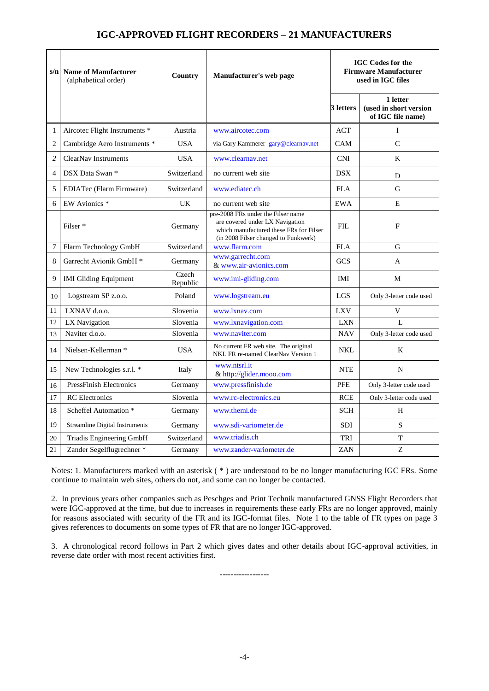# **IGC-APPROVED FLIGHT RECORDERS – 21 MANUFACTURERS**

|                | s/n Name of Manufacturer<br>(alphabetical order) | Country           | Manufacturer's web page                                                                                                                                  | <b>IGC Codes for the</b><br><b>Firmware Manufacturer</b><br>used in IGC files |                                                         |
|----------------|--------------------------------------------------|-------------------|----------------------------------------------------------------------------------------------------------------------------------------------------------|-------------------------------------------------------------------------------|---------------------------------------------------------|
|                |                                                  |                   |                                                                                                                                                          | 3 letters                                                                     | 1 letter<br>(used in short version<br>of IGC file name) |
| 1              | Aircotec Flight Instruments *                    | Austria           | www.aircotec.com                                                                                                                                         | <b>ACT</b>                                                                    | I                                                       |
| $\overline{2}$ | Cambridge Aero Instruments *                     | <b>USA</b>        | via Gary Kammerer gary@clearnav.net                                                                                                                      | CAM                                                                           | $\mathcal{C}$                                           |
| $\overline{c}$ | ClearNav Instruments                             | <b>USA</b>        | www.clearnav.net                                                                                                                                         | <b>CNI</b>                                                                    | K                                                       |
| $\overline{4}$ | DSX Data Swan *                                  | Switzerland       | no current web site                                                                                                                                      | <b>DSX</b>                                                                    | D                                                       |
| 5              | EDIATec (Flarm Firmware)                         | Switzerland       | www.ediatec.ch                                                                                                                                           | <b>FLA</b>                                                                    | G                                                       |
| 6              | EW Avionics *                                    | UK                | no current web site                                                                                                                                      | EWA                                                                           | E                                                       |
|                | Filser <sup>*</sup>                              | Germany           | pre-2008 FRs under the Filser name<br>are covered under LX Navigation<br>which manufactured these FRs for Filser<br>(in 2008 Filser changed to Funkwerk) | FIL.                                                                          | F                                                       |
| 7              | Flarm Technology GmbH                            | Switzerland       | www.flarm.com                                                                                                                                            | <b>FLA</b>                                                                    | G                                                       |
| 8              | Garrecht Avionik GmbH <sup>*</sup>               | Germany           | www.garrecht.com<br>& www.air-avionics.com                                                                                                               | <b>GCS</b>                                                                    | A                                                       |
| 9              | <b>IMI Gliding Equipment</b>                     | Czech<br>Republic | www.imi-gliding.com                                                                                                                                      | IMI                                                                           | M                                                       |
| 10             | Logstream SP z.o.o.                              | Poland            | www.logstream.eu                                                                                                                                         | <b>LGS</b>                                                                    | Only 3-letter code used                                 |
| 11             | LXNAV d.o.o.                                     | Slovenia          | www.lxnav.com                                                                                                                                            | <b>LXV</b>                                                                    | V                                                       |
| 12             | LX Navigation                                    | Slovenia          | www.lxnavigation.com                                                                                                                                     | <b>LXN</b>                                                                    | $\mathbf{L}$                                            |
| 13             | Naviter d.o.o.                                   | Slovenia          | www.naviter.com                                                                                                                                          | <b>NAV</b>                                                                    | Only 3-letter code used                                 |
| 14             | Nielsen-Kellerman *                              | <b>USA</b>        | No current FR web site. The original<br>NKL FR re-named ClearNav Version 1                                                                               | <b>NKL</b>                                                                    | K                                                       |
| 15             | New Technologies s.r.l. *                        | Italy             | www.ntsrl.it<br>& http://glider.mooo.com                                                                                                                 | <b>NTE</b>                                                                    | N                                                       |
| 16             | <b>PressFinish Electronics</b>                   | Germany           | www.pressfinish.de                                                                                                                                       | <b>PFE</b>                                                                    | Only 3-letter code used                                 |
| 17             | <b>RC</b> Electronics                            | Slovenia          | www.rc-electronics.eu                                                                                                                                    | <b>RCE</b>                                                                    | Only 3-letter code used                                 |
| 18             | Scheffel Automation *                            | Germany           | www.themi.de                                                                                                                                             | <b>SCH</b>                                                                    | H                                                       |
| 19             | <b>Streamline Digital Instruments</b>            | Germany           | www.sdi-variometer.de                                                                                                                                    | <b>SDI</b>                                                                    | S                                                       |
| 20             | Triadis Engineering GmbH                         | Switzerland       | www.triadis.ch                                                                                                                                           | TRI                                                                           | T                                                       |
| 21             | Zander Segelflugrechner *                        | Germany           | www.zander-variometer.de                                                                                                                                 | <b>ZAN</b>                                                                    | Z                                                       |

Notes: 1. Manufacturers marked with an asterisk ( \* ) are understood to be no longer manufacturing IGC FRs. Some continue to maintain web sites, others do not, and some can no longer be contacted.

2. In previous years other companies such as Peschges and Print Technik manufactured GNSS Flight Recorders that were IGC-approved at the time, but due to increases in requirements these early FRs are no longer approved, mainly for reasons associated with security of the FR and its IGC-format files. Note 1 to the table of FR types on page 3 gives references to documents on some types of FR that are no longer IGC-approved.

3. A chronological record follows in Part 2 which gives dates and other details about IGC-approval activities, in reverse date order with most recent activities first.

------------------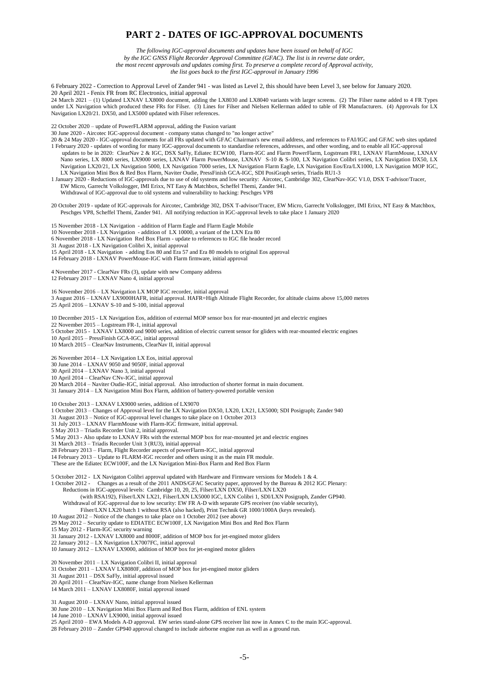## **PART 2 - DATES OF IGC-APPROVAL DOCUMENTS**

*The following IGC-approval documents and updates have been issued on behalf of IGC* 

*by the IGC GNSS Flight Recorder Approval Committee (GFAC). The list is in reverse date order,* 

*the most recent approvals and updates coming first. To preserve a complete record of Approval activity,* 

*the list goes back to the first IGC-approval in January 1996*

6 February 2022 - Correction to Approval Level of Zander 941 - was listed as Level 2, this should have been Level 3, see below for January 2020. 20 April 2021 - Fenix FR from RC Electronics, initial approval

24 March 2021 – (1) Updated LXNAV LX8000 document, adding the LX8030 and LX8040 variants with larger screens. (2) The Filser name added to 4 FR Types under LX Navigation which produced these FRs for Filser. (3) Lines for Filser and Nielsen Kellerman added to table of FR Manufacturers. (4) Approvals for LX Navigation LX20/21. DX50, and LX5000 updated with Filser references.

22 October 2020 – update of PowerFLARM approval, adding the Fusion variant

30 June 2020 - Aircotec IGC-approval document - company status changed to "no longer active"

20 & 24 May 2020 - IGC-approval documents for all FRs updated with GFAC Chairman's new email address, and references to FAI/IGC and GFAC web sites updated 1 February 2020 - updates of wording for many IGC-approval documents to standardise references, addresses, and other wording, and to enable all IGC-approval updates to be in 2020: ClearNav 2 & IGC, DSX SaFly, Ediatec ECW100, Flarm-IGC and Flarm PowerFlarm, Logstream FR1, LXNAV FlarmMouse, LXNAV Nano series, LX 8000 series, LX9000 series, LXNAV Flarm PowerMouse, LXNAV S-10 & S-100, LX Navigation Colibri series, LX Navigation DX50, LX Navigation LX20/21, LX Navigation 5000, LX Navigation 7000 series, LX Navigation Flarm Eagle, LX Navigation Eos/Era/LX1000, LX Navigation MOP IGC,

LX Navigation Mini Box & Red Box Flarm, Naviter Oudie, PressFinish GCA-IGC, SDI PosiGraph series, Triadis RU1-3 1 January 2020 - Reductions of IGC-approvals due to use of old systems and low security: Aircotec, Cambridge 302, ClearNav-IGC V1.0, DSX T-advisor/Tracer, EW Micro, Garrecht Volkslogger, IMI Erixx, NT Easy & Matchbox, Scheffel Themi, Zander 941.

Withdrawal of IGC-approval due to old systems and vulnerability to hacking: Peschges VP8

20 October 2019 - update of IGC-approvals for Aircotec, Cambridge 302, DSX T-advisor/Tracer, EW Micro, Garrecht Volkslogger, IMI Erixx, NT Easy & Matchbox, Peschges VP8, Scheffel Themi, Zander 941. All notifying reduction in IGC-approval levels to take place 1 January 2020

15 November 2018 - LX Navigation - addition of Flarm Eagle and Flarm Eagle Mobile

10 November 2018 - LX Navigation - addition of LX 10000, a variant of the LXN Era 80

6 November 2018 - LX Navigation Red Box Flarm - update to references to IGC file header record

31 August 2018 - LX Navigation Colibri X, initial approval

15 April 2018 - LX Navigation - adding Eos 80 and Era 57 and Era 80 models to original Eos approval

14 February 2018 - LXNAV PowerMouse-IGC with Flarm firmware, initial approval

4 November 2017 - ClearNav FRs (3), update with new Company address 12 February 2017 – LXNAV Nano 4, initial approval

16 November 2016 – LX Navigation LX MOP IGC recorder, initial approval 3 August 2016 – LXNAV LX9000HAFR, initial approval. HAFR=High Altitude Flight Recorder, for altitude claims above 15,000 metres

25 April 2016 – LXNAV S-10 and S-100, initial approval

10 December 2015 - LX Navigation Eos, addition of external MOP sensor box for rear-mounted jet and electric engines

22 November 2015 – Logstream FR-1, initial approval

5 October 2015 - LXNAV LX8000 and 9000 series, addition of electric current sensor for gliders with rear-mounted electric engines

10 April 2015 – PressFinish GCA-IGC, initial approval 10 March 2015 – ClearNav Instruments, ClearNav II, initial approval

26 November 2014 – LX Navigation LX Eos, initial approval

30 June 2014 – LXNAV 9050 and 9050F, initial approval 30 April 2014 – LXNAV Nano 3, initial approval

10 April 2014 – ClearNav CNv-IGC, initial approval

20 March 2014 – Naviter Oudie-IGC, initial approval. Also introduction of shorter format in main document.

31 January 2014 – LX Navigation Mini Box Flarm, addition of battery-powered portable version

10 October 2013 – LXNAV LX9000 series, addition of LX9070

1 October 2013 – Changes of Approval level for the LX Navigation DX50, LX20, LX21, LX5000; SDI Posigraph; Zander 940

31 August 2013 – Notice of IGC-approval level changes to take place on 1 October 2013

31 July 2013 – LXNAV FlarmMouse with Flarm-IGC firmware, initial approval.

5 May 2013 – Triadis Recorder Unit 2, initial approval.

5 May 2013 - Also update to LXNAV FRs with the external MOP box for rear-mounted jet and electric engines

31 March 2013 – Triadis Recorder Unit 3 (RU3), initial approval

28 February 2013 – Flarm, Flight Recorder aspects of powerFlarm-IGC, initial approval

14 February 2013 – Update to FLARM-IGC recorder and others using it as the main FR module.

`These are the Ediatec ECW100F, and the LX Navigation Mini-Box Flarm and Red Box Flarm

5 October 2012 - LX Navigaton Colibri approval updated with Hardware and Firmware versions for Models 1 & 4.

1 October 2012 - Changes as a result of the 2011 ANDS/GFAC Security paper, approved by the Bureau & 2012 IGC Plenary: Reductions in IGC-approval levels: Cambridge 10, 20, 25, Filser/LXN DX50, Filser/LXN LX20

(with RSA192), Filser/LXN LX21, Filser/LXN LX5000 IGC, LXN Colibri 1, SDI/LXN Posigraph, Zander GP940. Withdrawal of IGC-approval due to low security: EW FR A-D with separate GPS receiver (no viable security), Filser/LXN LX20 batch 1 without RSA (also hacked), Print Technik GR 1000/1000A (keys revealed).

10 August 2012 – Notice of the changes to take place on 1 October 2012 (see above)

29 May 2012 – Security update to EDIATEC ECW100F, LX Navigation Mini Box and Red Box Flarm

15 May 2012 - Flarm-IGC security warning

31 January 2012 - LXNAV LX8000 and 8000F, addition of MOP box for jet-engined motor gliders

22 January 2012 – LX Navigation LX7007FC, initial approval

10 January 2012 – LXNAV LX9000, addition of MOP box for jet-engined motor gliders

20 November 2011 – LX Navigation Colibri II, initial approval

31 October 2011 – LXNAV LX8080F, addition of MOP box for jet-engined motor gliders

31 August 2011 – DSX SaFly, initial approval issued

20 April 2011 – ClearNav-IGC, name change from Nielsen Kellerman

14 March 2011 – LXNAV LX8080F, initial approval issued

31 August 2010 – LXNAV Nano, initial approval issued

30 June 2010 – LX Navigation Mini Box Flarm and Red Box Flarm, addition of ENL system

14 June 2010 – LXNAV LX9000, initial approval issued

25 April 2010 – EWA Models A-D approval. EW series stand-alone GPS receiver list now in Annex C to the main IGC-approval.

28 February 2010 – Zander GP940 approval changed to include airborne engine run as well as a ground run.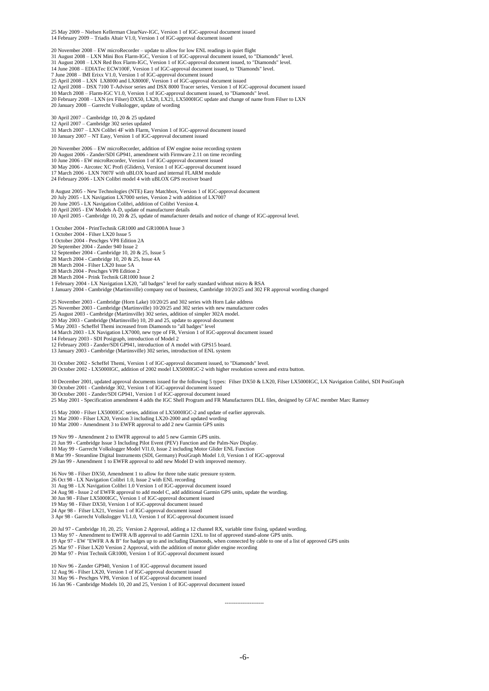25 May 2009 – Nielsen Kellerman ClearNav-IGC, Version 1 of IGC-approval document issued 14 February 2009 – Triadis Altair V1.0, Version 1 of IGC-approval document issued

20 November 2008 – EW microRecorder – update to allow for low ENL readings in quiet flight 31 August 2008 – LXN Mini Box Flarm-IGC, Version 1 of IGC-approval document issued, to "Diamonds" level. 31 August 2008 – LXN Red Box Flarm-IGC, Version 1 of IGC-approval document issued, to "Diamonds" level. 14 June 2008 – EDIATec ECW100F, Version 1 of IGC-approval document issued, to "Diamonds" level. 7 June 2008 – IMI Erixx V1.0, Version 1 of IGC-approval document issued 25 April 2008 – LXN LX8000 and LX8000F, Version 1 of IGC-approval document issued 12 April 2008 – DSX 7100 T-Advisor series and DSX 8000 Tracer series, Version 1 of IGC-approval document issued 10 March 2008 – Flarm-IGC V1.0, Version 1 of IGC-approval document issued, to "Diamonds" level. 20 February 2008 – LXN (ex Filser) DX50, LX20, LX21, LX5000IGC update and change of name from Filser to LXN 20 January 2008 – Garrecht Volkslogger, update of wording 30 April 2007 – Cambridge 10, 20 & 25 updated 12 April 2007 – Cambridge 302 series updated 31 March 2007 – LXN Colibri 4F with Flarm, Version 1 of IGC-approval document issued 10 January 2007 – NT Easy, Version 1 of IGC-approval document issued 20 November 2006 – EW microRecorder, addition of EW engine noise recording system 20 August 2006 - Zander/SDI GP941, amendment with Firmware 2.11 on time recording 10 June 2006 - EW microRecorder, Version 1 of IGC-approval document issued<br>30 May 2006 - Aircotec XC Profi (Gliders), Version 1 of IGC-approval document issued<br>17 March 2006 - LXN 7007F with uBLOX board and internal FLARM 24 February 2006 - LXN Colibri model 4 with uBLOX GPS receiver board 8 August 2005 - New Technologies (NTE) Easy Matchbox, Version 1 of IGC-approval document 20 July 2005 - LX Navigation LX7000 series, Version 2 with addition of LX7007 20 June 2005 - LX Navigation Colibri, addition of Colibri Version 4. 10 April 2005 - EW Models A-D, update of manufacturer details 10 April 2005 - Cambridge 10, 20  $\&$  25, update of manufacturer details and notice of change of IGC-approval level. 1 October 2004 - PrintTechnik GR1000 and GR1000A Issue 3 1 October 2004 - Filser LX20 Issue 5 1 October 2004 - Peschges VP8 Edition 2A 20 September 2004 - Zander 940 Issue 2 12 September 2004 - Cambridge 10, 20 & 25, Issue 5 28 March 2004 - Cambridge 10, 20 & 25, Issue 4A 28 March 2004 - Filser LX20 Issue 5A 28 March 2004 - Peschges VP8 Edition 2 28 March 2004 - Prink Technik GR1000 Issue 2 1 February 2004 - LX Navigation LX20, "all badges" level for early standard without micro & RSA 1 January 2004 - Cambridge (Martinsville) company out of business, Cambridge 10/20/25 and 302 FR approval wording changed 25 November 2003 - Cambridge (Horn Lake) 10/20/25 and 302 series with Horn Lake address 25 November 2003 - Cambridge (Martinsville) 10/20/25 and 302 series with new manufacturer codes 25 August 2003 - Cambridge (Martinsville) 302 series, addition of simpler 302A model. 20 May 2003 - Cambridge (Martinsville) 10, 20 and 25, update to approval document

5 May 2003 - Scheffel Themi increased from Diamonds to "all badges" level 14 March 2003 - LX Navigation LX7000, new type of FR, Version 1 of IGC-approval document issued

14 February 2003 - SDI Posigraph, introduction of Model 2

12 February 2003 - Zander/SDI GP941, introduction of A model with GPS15 board. 13 January 2003 - Cambridge (Martinsville) 302 series, introduction of ENL system

31 October 2002 - Scheffel Themi, Version 1 of IGC-approval document issued, to "Diamonds" level. 20 October 2002 - LX5000IGC, addition of 2002 model LX5000IGC-2 with higher resolution screen and extra button.

10 December 2001, updated approval documents issued for the following 5 types: Filser DX50 & LX20, Filser LX5000IGC, LX Navigation Colibri, SDI PosiGraph<br>30 October 2001 - Cambridge 302, Version 1 of IGC-approval document 25 May 2001 - Specification amendment 4 adds the IGC Shell Program and FR Manufacturers DLL files, designed by GFAC member Marc Ramsey

15 May 2000 - Filser LX5000IGC series, addition of LX5000IGC-2 and update of earlier approvals. 21 Mar 2000 - Filser LX20, Version 3 including LX20-2000 and updated wording 10 Mar 2000 - Amendment 3 to EWFR approval to add 2 new Garmin GPS units

19 Nov 99 - Amendment 2 to EWFR approval to add 5 new Garmin GPS units.<br>21 Jun 99 - Cambridge Issue 3 Including Pilot Event (PEV) Function and the Palm-Nav Display.<br>10 May 99 - Garrecht Volkslogger Model VI1.0, Issue 2 inc 8 Mar 99 - Streamline Digital Instruments (SDI, Germany) PosiGraph Model 1.0, Version 1 of IGC-approval 29 Jan 99 - Amendment 1 to EWFR approval to add new Model D with improved memory.

16 Nov 98 - Filser DX50, Amendment 1 to allow for three tube static pressure system. 26 Oct 98 - LX Navigation Colibri 1.0, Issue 2 with ENL recording

31 Aug 98 - LX Navigation Colibri 1.0 Version 1 of IGC-approval document issued

24 Aug 98 - Issue 2 of EWFR approval to add model C, add additional Garmin GPS units, update the wording.<br>30 Jun 98 - Filser LX5000IGC, Version 1 of IGC-approval document issued<br>19 May 98 - Filser DX50, Version 1 of IGC-ap

24 Apr 98 - Filser LX21, Version 1 of IGC-approval document issued 3 Apr 98 - Garrecht Volkslogger VL1.0, Version 1 of IGC-approval document issued

20 Jul 97 - Cambridge 10, 20, 25; Version 2 Approval, adding a 12 channel RX, variable time fixing, updated wording. 13 May 97 - Amendment to EWFR A/B approval to add Garmin 12XL to list of approved stand-alone GPS units.

19 Apr 97 - EW "EWFR A & B" for badges up to and including Diamonds, when connected by cable to one of a list of approved GPS units<br>25 Mar 97 - Filser LX20 Version 2 Approval, with the addition of motor glider engine recor

10 Nov 96 - Zander GP940, Version 1 of IGC-approval document issued 12 Aug 96 - Filser LX20, Version 1 of IGC-approval document issued

31 May 96 - Peschges VP8, Version 1 of IGC-approval document issued 16 Jan 96 - Cambridge Models 10, 20 and 25, Version 1 of IGC-approval document issued

-6-

----------------------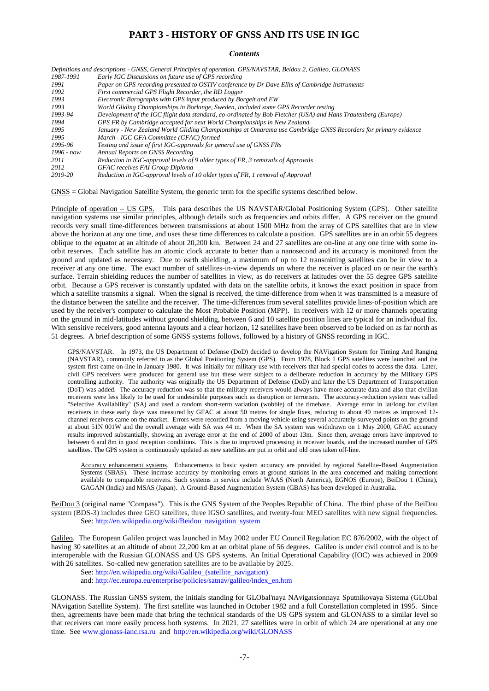## **PART 3 - HISTORY OF GNSS AND ITS USE IN IGC**

#### *Contents*

|              | Definitions and descriptions - GNSS, General Principles of operation. GPS/NAVSTAR, Beidou 2, Galileo, GLONASS  |
|--------------|----------------------------------------------------------------------------------------------------------------|
| 1987-1991    | Early IGC Discussions on future use of GPS recording                                                           |
| 1991         | Paper on GPS recording presented to OSTIV conference by Dr Dave Ellis of Cambridge Instruments                 |
| 1992         | First commercial GPS Flight Recorder, the RD Logger                                                            |
| 1993         | Electronic Barographs with GPS input produced by Borgelt and EW                                                |
| 1993         | World Gliding Championships in Borlange, Sweden, included some GPS Recorder testing                            |
| 1993-94      | Development of the IGC flight data standard, co-ordinated by Bob Fletcher (USA) and Hans Trautenberg (Europe)  |
| 1994         | GPS FR by Cambridge accepted for next World Championships in New Zealand.                                      |
| 1995         | January - New Zealand World Gliding Championships at Omarama use Cambridge GNSS Recorders for primary evidence |
| 1995         | March - IGC GFA Committee (GFAC) formed                                                                        |
| 1995-96      | Testing and issue of first IGC-approvals for general use of GNSS FRs                                           |
| $1996 - now$ | Annual Reports on GNSS Recording                                                                               |
| 2011         | Reduction in IGC-approval levels of 9 older types of FR, 3 removals of Approvals                               |
| 2012         | <b>GFAC</b> receives FAI Group Diploma                                                                         |
| 2019-20      | Reduction in IGC-approval levels of 10 older types of FR, 1 removal of Approval                                |

GNSS = Global Navigation Satellite System, the generic term for the specific systems described below.

Principle of operation – US GPS. This para describes the US NAVSTAR/Global Positioning System (GPS). Other satellite navigation systems use similar principles, although details such as frequencies and orbits differ. A GPS receiver on the ground records very small time-differences between transmissions at about 1500 MHz from the array of GPS satellites that are in view above the horizon at any one time, and uses these time differences to calculate a position. GPS satellites are in an orbit 55 degrees oblique to the equator at an altitude of about 20,200 km. Between 24 and 27 satellites are on-line at any one time with some inorbit reserves. Each satellite has an atomic clock accurate to better than a nanosecond and its accuracy is monitored from the ground and updated as necessary. Due to earth shielding, a maximum of up to 12 transmitting satellites can be in view to a receiver at any one time. The exact number of satellites-in-view depends on where the receiver is placed on or near the earth's surface. Terrain shielding reduces the number of satellites in view, as do receivers at latitudes over the 55 degree GPS satellite orbit. Because a GPS receiver is constantly updated with data on the satellite orbits, it knows the exact position in space from which a satellite transmits a signal. When the signal is received, the time-difference from when it was transmitted is a measure of the distance between the satellite and the receiver. The time-differences from several satellites provide lines-of-position which are used by the receiver's computer to calculate the Most Probable Position (MPP). In receivers with 12 or more channels operating on the ground in mid-latitudes without ground shielding, between 6 and 10 satellite position lines are typical for an individual fix. With sensitive receivers, good antenna layouts and a clear horizon, 12 satellites have been observed to be locked on as far north as 51 degrees. A brief description of some GNSS systems follows, followed by a history of GNSS recording in IGC.

GPS/NAVSTAR. In 1973, the US Department of Defense (DoD) decided to develop the NAVigation System for Timing And Ranging (NAVSTAR), commonly referred to as the Global Positioning System (GPS). From 1978, Block 1 GPS satellites were launched and the system first came on-line in January 1980. It was initially for military use with receivers that had special codes to access the data. Later, civil GPS receivers were produced for general use but these were subject to a deliberate reduction in accuracy by the Military GPS controlling authority. The authority was originally the US Department of Defense (DoD) and later the US Department of Transportation (DoT) was added. The accuracy reduction was so that the military receivers would always have more accurate data and also that civilian receivers were less likely to be used for undesirable purposes such as disruption or terrorism. The accuracy-reduction system was called "Selective Availability" (SA) and used a random short-term variation (wobble) of the timebase. Average error in lat/long for civilian receivers in these early days was measured by GFAC at about 50 metres for single fixes, reducing to about 40 metres as improved 12 channel receivers came on the market. Errors were recorded from a moving vehicle using several accurately-surveyed points on the ground at about 51N 001W and the overall average with SA was 44 m. When the SA system was withdrawn on 1 May 2000, GFAC accuracy results improved substantially, showing an average error at the end of 2000 of about 13m. Since then, average errors have improved to between 6 and 8m in good reception conditions. This is due to improved processing in receiver boards, and the increased number of GPS satellites. The GPS system is continuously updated as new satellites are put in orbit and old ones taken off-line.

Accuracy enhancement systems. Enhancements to basic system accuracy are provided by regional Satellite-Based Augmentation Systems (SBAS). These increase accuracy by monitoring errors at ground stations in the area concerned and making corrections available to compatible receivers. Such systems in service include WAAS (North America), EGNOS (Europe), BeiDou 1 (China), GAGAN (India) and MSAS (Japan). A Ground-Based Augmentation System (GBAS) has been developed in Australia.

BeiDou 3 (original name "Compass"). This is the GNS System of the Peoples Republic of China. The third phase of the BeiDou system (BDS-3) includes three GEO satellites, three IGSO satellites, and twenty-four MEO satellites with new signal frequencies. See: [http://en.wikipedia.org/wiki/Beidou\\_navigation\\_system](http://en.wikipedia.org/wiki/Beidou_navigation_system)

Galileo. The European Galileo project was launched in May 2002 under EU Council Regulation EC 876/2002, with the object of having 30 satellites at an altitude of about 22,200 km at an orbital plane of 56 degrees. Galileo is under civil control and is to be interoperable with the Russian GLONASS and US GPS systems. An Initial Operational Capability (IOC) was achieved in 2009 with 26 satellites. So-called new generation satellites are to be available by 2025.

See: [http://en.wikipedia.org/wiki/Galileo\\_\(satellite\\_navigation\)](http://en.wikipedia.org/wiki/Galileo_(satellite_navigation))

and: [http://ec.europa.eu/enterprise/policies/satnav/galileo/index\\_en.htm](http://ec.europa.eu/enterprise/policies/satnav/galileo/index_en.htm)

GLONASS. The Russian GNSS system, the initials standing for GLObal'naya NAvigatsionnaya Sputnikovaya Sistema (GLObal NAvigation Satellite System). The first satellite was launched in October 1982 and a full Constellation completed in 1995. Since then, agreements have been made that bring the technical standards of the US GPS system and GLONASS to a similar level so that receivers can more easily process both systems. In 2021, 27 satellites were in orbit of which 24 are operational at any one time. See [www.glonass-ianc.rsa.ru](http://www.glonass-ianc.rsa.ru/) and<http://en.wikipedia.org/wiki/GLONASS>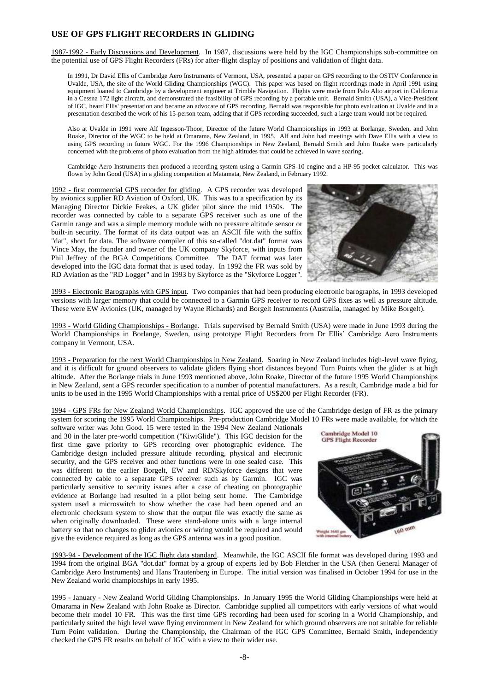# **USE OF GPS FLIGHT RECORDERS IN GLIDING**

1987-1992 - Early Discussions and Development. In 1987, discussions were held by the IGC Championships sub-committee on the potential use of GPS Flight Recorders (FRs) for after-flight display of positions and validation of flight data.

In 1991, Dr David Ellis of Cambridge Aero Instruments of Vermont, USA, presented a paper on GPS recording to the OSTIV Conference in Uvalde, USA, the site of the World Gliding Championships (WGC). This paper was based on flight recordings made in April 1991 using equipment loaned to Cambridge by a development engineer at Trimble Navigation. Flights were made from Palo Alto airport in California in a Cessna 172 light aircraft, and demonstrated the feasibility of GPS recording by a portable unit. Bernald Smith (USA), a Vice-President of IGC, heard Ellis' presentation and became an advocate of GPS recording. Bernald was responsible for photo evaluation at Uvalde and in a presentation described the work of his 15-person team, adding that if GPS recording succeeded, such a large team would not be required.

Also at Uvalde in 1991 were Alf Ingesson-Thoor, Director of the future World Championships in 1993 at Borlange, Sweden, and John Roake, Director of the WGC to be held at Omarama, New Zealand, in 1995. Alf and John had meetings with Dave Ellis with a view to using GPS recording in future WGC. For the 1996 Championships in New Zealand, Bernald Smith and John Roake were particularly concerned with the problems of photo evaluation from the high altitudes that could be achieved in wave soaring.

Cambridge Aero Instruments then produced a recording system using a Garmin GPS-10 engine and a HP-95 pocket calculator. This was flown by John Good (USA) in a gliding competition at Matamata, New Zealand, in February 1992.

1992 - first commercial GPS recorder for gliding. A GPS recorder was developed by avionics supplier RD Aviation of Oxford, UK. This was to a specification by its Managing Director Dickie Feakes, a UK glider pilot since the mid 1950s. The recorder was connected by cable to a separate GPS receiver such as one of the Garmin range and was a simple memory module with no pressure altitude sensor or built-in security. The format of its data output was an ASCII file with the suffix "dat", short for data. The software compiler of this so-called "dot.dat" format was Vince May, the founder and owner of the UK company Skyforce, with inputs from Phil Jeffrey of the BGA Competitions Committee. The DAT format was later developed into the IGC data format that is used today. In 1992 the FR was sold by RD Aviation as the "RD Logger" and in 1993 by Skyforce as the "Skyforce Logger".



1993 - Electronic Barographs with GPS input. Two companies that had been producing electronic barographs, in 1993 developed versions with larger memory that could be connected to a Garmin GPS receiver to record GPS fixes as well as pressure altitude. These were EW Avionics (UK, managed by Wayne Richards) and Borgelt Instruments (Australia, managed by Mike Borgelt).

1993 - World Gliding Championships - Borlange. Trials supervised by Bernald Smith (USA) were made in June 1993 during the World Championships in Borlange, Sweden, using prototype Flight Recorders from Dr Ellis' Cambridge Aero Instruments company in Vermont, USA.

1993 - Preparation for the next World Championships in New Zealand. Soaring in New Zealand includes high-level wave flying, and it is difficult for ground observers to validate gliders flying short distances beyond Turn Points when the glider is at high altitude. After the Borlange trials in June 1993 mentioned above, John Roake, Director of the future 1995 World Championships in New Zealand, sent a GPS recorder specification to a number of potential manufacturers. As a result, Cambridge made a bid for units to be used in the 1995 World Championships with a rental price of US\$200 per Flight Recorder (FR).

1994 - GPS FRs for New Zealand World Championships. IGC approved the use of the Cambridge design of FR as the primary system for scoring the 1995 World Championships. Pre-production Cambridge Model 10 FRs were made available, for which the

software writer was John Good. 15 were tested in the 1994 New Zealand Nationals and 30 in the later pre-world competition ("KiwiGlide"). This IGC decision for the first time gave priority to GPS recording over photographic evidence. The Cambridge design included pressure altitude recording, physical and electronic security, and the GPS receiver and other functions were in one sealed case. This was different to the earlier Borgelt, EW and RD/Skyforce designs that were connected by cable to a separate GPS receiver such as by Garmin. IGC was particularly sensitive to security issues after a case of cheating on photographic evidence at Borlange had resulted in a pilot being sent home. The Cambridge system used a microswitch to show whether the case had been opened and an electronic checksum system to show that the output file was exactly the same as when originally downloaded. These were stand-alone units with a large internal battery so that no changes to glider avionics or wiring would be required and would give the evidence required as long as the GPS antenna was in a good position.



1993-94 - Development of the IGC flight data standard. Meanwhile, the IGC ASCII file format was developed during 1993 and 1994 from the original BGA "dot.dat" format by a group of experts led by Bob Fletcher in the USA (then General Manager of Cambridge Aero Instruments) and Hans Trautenberg in Europe. The initial version was finalised in October 1994 for use in the New Zealand world championships in early 1995.

1995 - January - New Zealand World Gliding Championships. In January 1995 the World Gliding Championships were held at Omarama in New Zealand with John Roake as Director. Cambridge supplied all competitors with early versions of what would become their model 10 FR. This was the first time GPS recording had been used for scoring in a World Championship, and particularly suited the high level wave flying environment in New Zealand for which ground observers are not suitable for reliable Turn Point validation. During the Championship, the Chairman of the IGC GPS Committee, Bernald Smith, independently checked the GPS FR results on behalf of IGC with a view to their wider use.